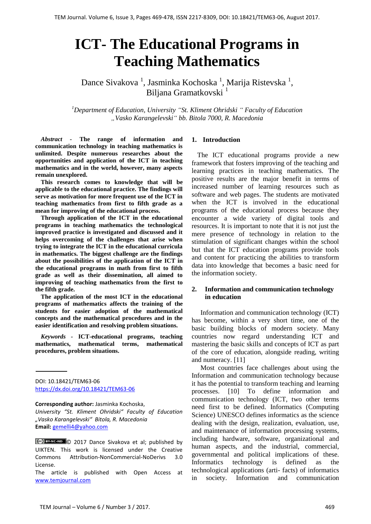# **ICT- The Educational Programs in Teaching Mathematics**

Dance Sivakova<sup>1</sup>, Jasminka Kochoska<sup>1</sup>, Marija Ristevska<sup>1</sup>, Biljana Gramatkovski<sup>1</sup>

*<sup>1</sup>Department of Education, University "St. Kliment Ohridski " Faculty of Education "Vasko Karangelevski" bb. Bitola 7000, R. Macedonia*

*Abstract -* **The range of information and communication technology in teaching mathematics is unlimited. Despite numerous researches about the opportunities and application of the ICT in teaching mathematics and in the world, however, many aspects remain unexplored.**

**This research comes to knowledge that will be applicable to the educational practice. The findings will serve as motivation for more frequent use of the ICT in teaching mathematics from first to fifth grade as a mean for improving of the educational process.**

**Through application of the ICT in the educational programs in teaching mathematics the technological improved practice is investigated and discussed and it helps overcoming of the challenges that arise when trying to integrate the ICT in the educational curricula in mathematics. The biggest challenge are the findings about the possibilities of the application of the ICT in the educational programs in math from first to fifth grade as well as their dissemination, all aimed to improving of teaching mathematics from the first to the fifth grade.**

**The application of the most ICT in the educational programs of mathematics affects the training of the students for easier adoption of the mathematical concepts and the mathematical procedures and in the easier identification and resolving problem situations.**

*Keywords -* **ICT-educational programs, teaching mathematics, mathematical terms, mathematical procedures, problem situations.**

DOI: 10.18421/TEM63-06 <https://dx.doi.org/10.18421/TEM63-06>

**Corresponding author:** Jasminka Kochoska,

*University "St. Kliment Ohridski" Faculty of Education "Vasko Karangelevski" Bitola, R. Macedonia* **Email:** <gemelli4@yahoo.com>

### **1. Introduction**

The ICT educational programs provide a new framework that fosters improving of the teaching and learning practices in teaching mathematics. The positive results are the major benefit in terms of increased number of learning resources such as software and web pages. The students are motivated when the ICT is involved in the educational programs of the educational process because they encounter a wide variety of digital tools and resources. It is important to note that it is not just the mere presence of technology in relation to the stimulation of significant changes within the school but that the ICT education programs provide tools and content for practicing the abilities to transform data into knowledge that becomes a basic need for the information society.

### **2. Information and communication technology in education**

Information and communication technology (ICT) has become, within a very short time, one of the basic building blocks of modern society. Many countries now regard understanding ICT and mastering the basic skills and concepts of ICT as part of the core of education, alongside reading, writing and numeracy. [11]

Most countries face challenges about using the Information and communication technology because it has the potential to transform teaching and learning processes. [10] To define information and communication technology (ICT, two other terms need first to be defined. Informatics (Computing Science) UNESCO defines informatics as the science dealing with the design, realization, evaluation, use, and maintenance of information processing systems, including hardware, software, organizational and human aspects, and the industrial, commercial, governmental and political implications of these. Informatics technology is defined as the technological applications (arti- facts) of informatics in society. Information and communication

<sup>© 2017</sup> Dance Sivakova et al; published by UIKTEN. This work is licensed under the Creative Commons Attribution-NonCommercial-NoDerivs 3.0 License.

The article is published with Open Access at [www.temjournal.com](http://www.temjournal.com/)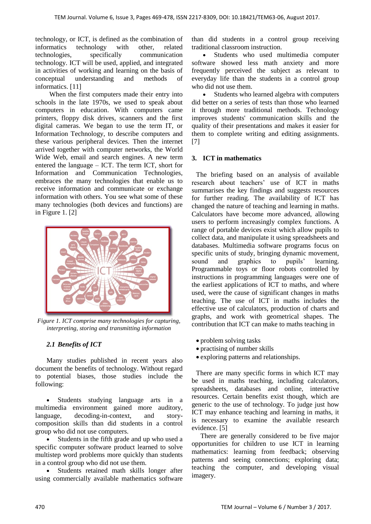technology, or ICT, is defined as the combination of informatics technology with other, related technologies, specifically communication technology. ICT will be used, applied, and integrated in activities of working and learning on the basis of conceptual understanding and methods of informatics. [11]

When the first computers made their entry into schools in the late 1970s, we used to speak about computers in education. With computers came printers, floppy disk drives, scanners and the first digital cameras. We began to use the term IT, or Information Technology, to describe computers and these various peripheral devices. Then the internet arrived together with computer networks, the World Wide Web, email and search engines. A new term entered the language – ICT. The term ICT, short for Information and Communication Technologies, embraces the many technologies that enable us to receive information and communicate or exchange information with others. You see what some of these many technologies (both devices and functions) are in Figure 1. [2]



*Figure 1. ICT comprise many technologies for capturing, interpreting, storing and transmitting information*

# *2.1 Benefits of ICT*

Many studies published in recent years also document the benefits of technology. Without regard to potential biases, those studies include the following:

 Students studying language arts in a multimedia environment gained more auditory, language, decoding-in-context, and storycomposition skills than did students in a control group who did not use computers.

 Students in the fifth grade and up who used a specific computer software product learned to solve multistep word problems more quickly than students in a control group who did not use them.

 Students retained math skills longer after using commercially available mathematics software than did students in a control group receiving traditional classroom instruction.

 Students who used multimedia computer software showed less math anxiety and more frequently perceived the subject as relevant to everyday life than the students in a control group who did not use them.

 Students who learned algebra with computers did better on a series of tests than those who learned it through more traditional methods. Technology improves students' communication skills and the quality of their presentations and makes it easier for them to complete writing and editing assignments. [7]

### **3. ICT in mathematics**

The briefing based on an analysis of available research about teachers' use of ICT in maths summarises the key findings and suggests resources for further reading. The availability of ICT has changed the nature of teaching and learning in maths. Calculators have become more advanced, allowing users to perform increasingly complex functions. A range of portable devices exist which allow pupils to collect data, and manipulate it using spreadsheets and databases. Multimedia software programs focus on specific units of study, bringing dynamic movement, sound and graphics to pupils' learning. Programmable toys or floor robots controlled by instructions in programming languages were one of the earliest applications of ICT to maths, and where used, were the cause of significant changes in maths teaching. The use of ICT in maths includes the effective use of calculators, production of charts and graphs, and work with geometrical shapes. The contribution that ICT can make to maths teaching in

- problem solving tasks
- practising of number skills
- exploring patterns and relationships.

There are many specific forms in which ICT may be used in maths teaching, including calculators, spreadsheets, databases and online, interactive resources. Certain benefits exist though, which are generic to the use of technology. To judge just how ICT may enhance teaching and learning in maths, it is necessary to examine the available research evidence. [5]

There are generally considered to be five major opportunities for children to use ICT in learning mathematics: learning from feedback; observing patterns and seeing connections; exploring data; teaching the computer, and developing visual imagery.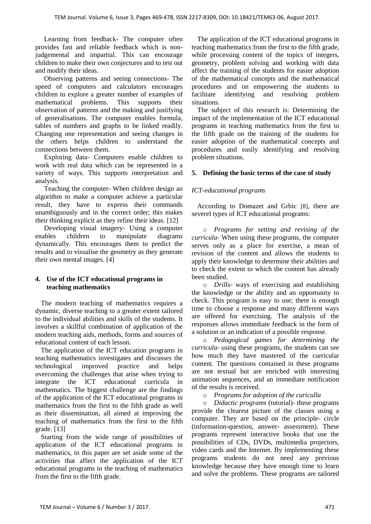Learning from feedback- The computer often provides fast and reliable feedback which is nonjudgemental and impartial. This can encourage children to make their own conjectures and to test out and modify their ideas.

Observing patterns and seeing connections- The speed of computers and calculators encourages children to explore a greater number of examples of mathematical problems. This supports their observation of patterns and the making and justifying of generalisations. The computer enables formula, tables of numbers and graphs to be linked readily. Changing one representation and seeing changes in the others helps children to understand the connections between them.

Exploring data- Computers enable children to work with real data which can be represented in a variety of ways. This supports interpretation and analysis.

Teaching the computer- When children design an algorithm to make a computer achieve a particular result, they have to express their commands unambiguously and in the correct order; this makes their thinking explicit as they refine their ideas. [12]

Developing visual imagery- Using a computer enables children to manipulate diagrams dynamically. This encourages them to predict the results and to visualise the geometry as they generate their own mental images. [4]

# **4. Use of the ICT educational programs in teaching mathematics**

The modern teaching of mathematics requires a dynamic, diverse teaching to a greater extent tailored to the individual abilities and skills of the students. It involves a skillful combination of application of the modern teaching aids, methods, forms and sources of educational content of each lesson.

The application of the ICT education programs in teaching mathematics investigates and discusses the technological improved practice and helps overcoming the challenges that arise when trying to integrate the ICT educational curricula in mathematics. The biggest challenge are the findings of the application of the ICT educational programs in mathematics from the first to the fifth grade as well as their dissemination, all aimed at improving the teaching of mathematics from the first to the fifth grade. [13]

Starting from the wide range of possibilities of application of the ICT educational programs in mathematics, in this paper are set aside some of the activities that affect the application of the ICT educational programs in the teaching of mathematics from the first to the fifth grade.

The application of the ICT educational programs in teaching mathematics from the first to the fifth grade, while processing content of the topics of integers, geometry, problem solving and working with data affect the training of the students for easier adoption of the mathematical concepts and the mathematical procedures and on empowering the students to facilitate identifying and resolving problem situations.

The subject of this research is: Determining the impact of the implementation of the ICT educational programs in teaching mathematics from the first to the fifth grade on the training of the students for easier adoption of the mathematical concepts and procedures and easily identifying and resolving problem situations.

# **5. Defining the basic terms of the case of study**

# *ICT-educational programs*

According to Domazet and Grbic [8], there are severel types of ICT educational programs:

o *Programs for setting and revising of the curricula-* When using these programs, the computer serves only as a place for exercise, a mean of revision of the content and allows the students to apply their knowledge to determine their abilities and to check the extent to which the content has already been studied.

o *Drills*- ways of exercising and establishing the knowledge or the ability and an opportunity to check. This program is easy to use; there is enough time to choose a response and many different ways are offered for exercising. The analysis of the responses allows immediate feedback in the form of a solution or an indication of a possible response.

o *Pedagogical games for determining the curricula*- using these programs, the students can see how much they have mastered of the curricular content. The questions contained in these programs are not textual but are enriched with interesting animation sequences, and an immediate notification of the results is received.

o *Programs for adoption of the curiculla*

o *Didactic programs* (tutorial)- these programs provide the clearest picture of the classes using a computer. They are based on the principle- circle (information-question, answer- assessment). These programs represent interactive books that use the possibilities of CDs, DVDs, multimedia projectors, video cards and the Internet. By implementing these programs students do not need any previous knowledge because they have enough time to learn and solve the problems. These programs are tailored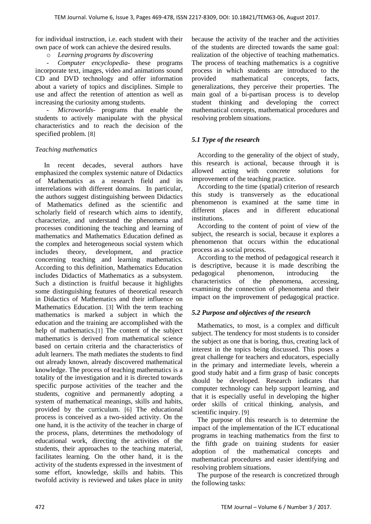for individual instruction, i.e. each student with their own pace of work can achieve the desired results.

o *Learning programs by discovering*

*- Computer encyclopedia*- these programs incorporate text, images, video and animations sound CD and DVD technology and offer information about a variety of topics and disciplines. Simple to use and affect the retention of attention as well as increasing the curiosity among students.

*Microworlds-* programs that enable the students to actively manipulate with the physical characteristics and to reach the decision of the specified problem. [8]

## *Teaching mathematics*

In recent decades, several authors have emphasized the complex systemic nature of Didactics of Mathematics as a research field and its interrelations with different domains. In particular, the authors suggest distinguishing between Didactics of Mathematics defined as the scientific and scholarly field of research which aims to identify, characterize, and understand the phenomena and processes conditioning the teaching and learning of mathematics and Mathematics Education defined as the complex and heterogeneous social system which includes theory, development, and practice concerning teaching and learning mathematics. According to this definition, Mathematics Education includes Didactics of Mathematics as a subsystem. Such a distinction is fruitful because it highlights some distinguishing features of theoretical research in Didactics of Mathematics and their influence on Mathematics Education. [3] With the term teaching mathematics is marked a subject in which the education and the training are accomplished with the help of mathematics.<sup>[1]</sup> The content of the subject mathematics is derived from mathematical science based on certain criteria and the characteristics of adult learners. The math mediates the students to find out already known, already discovered mathematical knowledge. The process of teaching mathematics is a totality of the investigation and it is directed towards specific purpose activities of the teacher and the students, cognitive and permanently adopting a system of mathematical meanings, skills and habits, provided by the curriculum. [6] The educational process is conceived as a two-sided activity. On the one hand, it is the activity of the teacher in charge of the process, plans, determines the methodology of educational work, directing the activities of the students, their approaches to the teaching material, facilitates learning. On the other hand, it is the activity of the students expressed in the investment of some effort, knowledge, skills and habits. This twofold activity is reviewed and takes place in unity

because the activity of the teacher and the activities of the students are directed towards the same goal: realization of the objective of teaching mathematics. The process of teaching mathematics is a cognitive process in which students are introduced to the provided mathematical concepts, facts, generalizations, they perceive their properties. The main goal of a bi-partisan process is to develop student thinking and developing the correct mathematical concepts, mathematical procedures and resolving problem situations.

# *5.1 Type of the research*

According to the generality of the object of study, this research is actional, because through it is allowed acting with concrete solutions for improvement of the teaching practice.

According to the time (spatial) criterion of research this study is transversely as the educational phenomenon is examined at the same time in different places and in different educational institutions.

According to the content of point of view of the subject, the research is social, because it explores a phenomenon that occurs within the educational process as a social process.

According to the method of pedagogical research it is descriptive, because it is made describing the pedagogical phenomenon, introducing the characteristics of the phenomena, accessing, examining the connection of phenomena and their impact on the improvement of pedagogical practice.

# *5.2 Purpose and objectives of the research*

Mathematics, to most, is a complex and difficult subject. The tendency for most students is to consider the subject as one that is boring, thus, creating lack of interest in the topics being discussed. This poses a great challenge for teachers and educators, especially in the primary and intermediate levels, wherein a good study habit and a firm grasp of basic concepts should be developed. Research indicates that computer technology can help support learning, and that it is especially useful in developing the higher order skills of critical thinking, analysis, and scientific inquiry. [9]

The purpose of this research is to determine the impact of the implementation of the ICT educational programs in teaching mathematics from the first to the fifth grade on training students for easier adoption of the mathematical concepts and mathematical procedures and easier identifying and resolving problem situations.

The purpose of the research is concretized through the following tasks: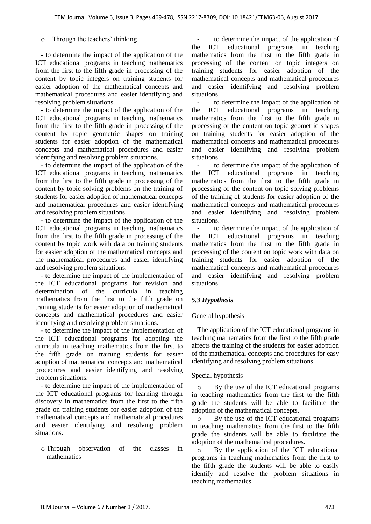### o Through the teachers' thinking

- to determine the impact of the application of the ICT educational programs in teaching mathematics from the first to the fifth grade in processing of the content by topic integers on training students for easier adoption of the mathematical concepts and mathematical procedures and easier identifying and resolving problem situations.

- to determine the impact of the application of the ICT educational programs in teaching mathematics from the first to the fifth grade in processing of the content by topic geometric shapes on training students for easier adoption of the mathematical concepts and mathematical procedures and easier identifying and resolving problem situations.

- to determine the impact of the application of the ICT educational programs in teaching mathematics from the first to the fifth grade in processing of the content by topic solving problems on the training of students for easier adoption of mathematical concepts and mathematical procedures and easier identifying and resolving problem situations.

- to determine the impact of the application of the ICT educational programs in teaching mathematics from the first to the fifth grade in processing of the content by topic work with data on training students for easier adoption of the mathematical concepts and the mathematical procedures and easier identifying and resolving problem situations.

- to determine the impact of the implementation of the ICT educational programs for revision and determination of the curricula in teaching mathematics from the first to the fifth grade on training students for easier adoption of mathematical concepts and mathematical procedures and easier identifying and resolving problem situations.

- to determine the impact of the implementation of the ICT educational programs for adopting the curricula in teaching mathematics from the first to the fifth grade on training students for easier adoption of mathematical concepts and mathematical procedures and easier identifying and resolving problem situations.

- to determine the impact of the implementation of the ICT educational programs for learning through discovery in mathematics from the first to the fifth grade on training students for easier adoption of the mathematical concepts and mathematical procedures and easier identifying and resolving problem situations.

o Through observation of the classes in mathematics

*-* to determine the impact of the application of the ICT educational programs in teaching mathematics from the first to the fifth grade in processing of the content on topic integers on training students for easier adoption of the mathematical concepts and mathematical procedures and easier identifying and resolving problem situations.

*-* to determine the impact of the application of the ICT educational programs in teaching mathematics from the first to the fifth grade in processing of the content on topic geometric shapes on training students for easier adoption of the mathematical concepts and mathematical procedures and easier identifying and resolving problem situations.

*-* to determine the impact of the application of the ICT educational programs in teaching mathematics from the first to the fifth grade in processing of the content on topic solving problems of the training of students for easier adoption of the mathematical concepts and mathematical procedures and easier identifying and resolving problem situations.

*-* to determine the impact of the application of the ICT educational programs in teaching mathematics from the first to the fifth grade in processing of the content on topic work with data on training students for easier adoption of the mathematical concepts and mathematical procedures and easier identifying and resolving problem situations.

## *5.3 Hypothesis*

#### General hypothesis

The application of the ICT educational programs in teaching mathematics from the first to the fifth grade affects the training of the students for easier adoption of the mathematical concepts and procedures for easy identifying and resolving problem situations.

#### Special hypothesis

By the use of the ICT educational programs in teaching mathematics from the first to the fifth grade the students will be able to facilitate the adoption of the mathematical concepts.

By the use of the ICT educational programs in teaching mathematics from the first to the fifth grade the students will be able to facilitate the adoption of the mathematical procedures.

o By the application of the ICT educational programs in teaching mathematics from the first to the fifth grade the students will be able to easily identify and resolve the problem situations in teaching mathematics.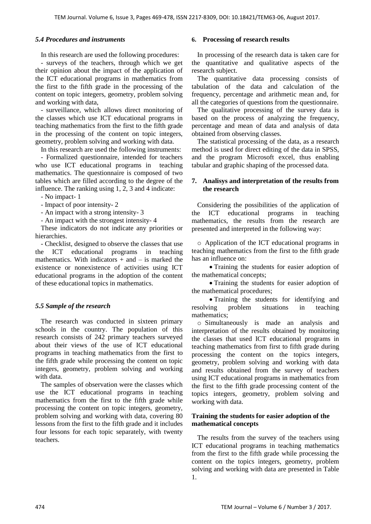## *5.4 Procedures and instruments*

In this research are used the following procedures:

- surveys of the teachers, through which we get their opinion about the impact of the application of the ICT educational programs in mathematics from the first to the fifth grade in the processing of the content on topic integers, geometry, problem solving and working with data,

- surveillance, which allows direct monitoring of the classes which use ICT educational programs in teaching mathematics from the first to the fifth grade in the processing of the content on topic integers, geometry, problem solving and working with data.

In this research are used the following instruments: - Formalized questionnaire, intended for teachers who use ICT educational programs in teaching mathematics. The questionnaire is composed of two tables which are filled according to the degree of the influence. The ranking using 1, 2, 3 and 4 indicate:

- No impact- 1

- Impact of poor intensity- 2

- An impact with a strong intensity- 3

- An impact with the strongest intensity- 4

These indicators do not indicate any priorities or hierarchies.

- Checklist, designed to observe the classes that use the ICT educational programs in teaching mathematics. With indicators  $+$  and  $-$  is marked the existence or nonexistence of activities using ICT educational programs in the adoption of the content of these educational topics in mathematics.

# *5.5 Sample of the research*

The research was conducted in sixteen primary schools in the country. The population of this research consists of 242 primary teachers surveyed about their views of the use of ICT educational programs in teaching mathematics from the first to the fifth grade while processing the content on topic integers, geometry, problem solving and working with data.

The samples of observation were the classes which use the ICT educational programs in teaching mathematics from the first to the fifth grade while processing the content on topic integers, geometry, problem solving and working with data, covering 80 lessons from the first to the fifth grade and it includes four lessons for each topic separately, with twenty teachers.

## **6. Processing of research results**

In processing of the research data is taken care for the quantitative and qualitative aspects of the research subject.

The quantitative data processing consists of tabulation of the data and calculation of the frequency, percentage and arithmetic mean and, for all the categories of questions from the questionnaire.

The qualitative processing of the survey data is based on the process of analyzing the frequency, percentage and mean of data and analysis of data obtained from observing classes.

The statistical processing of the data, as a research method is used for direct editing of the data in SPSS, and the program Microsoft excel, thus enabling tabular and graphic shaping of the processed data.

## **7. Analisys and interpretation of the results from the research**

Considering the possibilities of the application of the ICT educational programs in teaching mathematics, the results from the research are presented and interpreted in the following way:

o Application of the ICT educational programs in teaching mathematics from the first to the fifth grade has an influence on:

• Training the students for easier adoption of the mathematical concepts;

• Training the students for easier adoption of the mathematical procedures;

 Training the students for identifying and resolving problem situations in teaching mathematics;

o Simultaneously is made an analysis and interpretation of the results obtained by monitoring the classes that used ICT educational programs in teaching mathematics from first to fifth grade during processing the content on the topics integers, geometry, problem solving and working with data and results obtained from the survey of teachers using ICT educational programs in mathematics from the first to the fifth grade processing content of the topics integers, geometry, problem solving and working with data.

## **Training the students for easier adoption of the mathematical concepts**

The results from the survey of the teachers using ICT educational programs in teaching mathematics from the first to the fifth grade while processing the content on the topics integers, geometry, problem solving and working with data are presented in Table 1.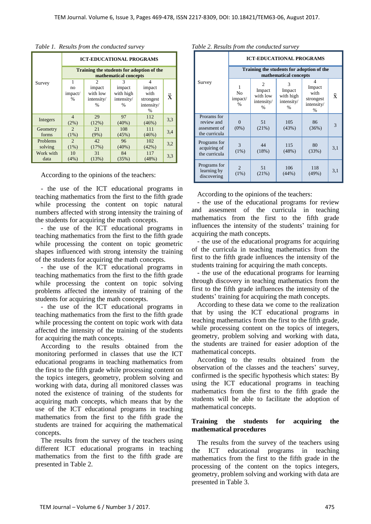|                     | <b>ICT-EDUCATIONAL PROGRAMS</b>                                    |                                       |                                        |                                  |                     |  |
|---------------------|--------------------------------------------------------------------|---------------------------------------|----------------------------------------|----------------------------------|---------------------|--|
|                     | Training the students for adoption of the<br>mathematical concepts |                                       |                                        |                                  |                     |  |
| Survey              | 1<br>no<br>impact/<br>$\frac{0}{0}$                                | 2<br>impact<br>with low<br>intensity/ | 3<br>impact<br>with high<br>intensity/ | 4<br>impact<br>with<br>strongest | $\ddot{\textbf{x}}$ |  |
|                     |                                                                    | $\frac{0}{0}$                         | $\frac{0}{0}$                          | intensity/<br>%                  |                     |  |
| Integers            | $\overline{4}$<br>(2%)                                             | 29<br>(12%)                           | 97<br>$(40\%)$                         | 112<br>(46%)                     | 3,3                 |  |
| Geometry<br>forms   | $\mathcal{D}_{\mathcal{L}}$<br>(1%)                                | 21<br>(9%)                            | 108<br>(45%)                           | 111<br>(46%)                     | 3,4                 |  |
| Problems<br>solving | $\mathfrak{D}$<br>(1%)                                             | 42<br>(17%)                           | 96<br>$(40\%)$                         | 102<br>(42%)                     | 3,2                 |  |
| Work with<br>data   | 10<br>(4%)                                                         | 31<br>(13%)                           | 84<br>(35%)                            | 117<br>(48%)                     | 3,3                 |  |

*Table 1. Results from the conducted survey*

According to the opinions of the teachers:

- the use of the ICT educational programs in teaching mathematics from the first to the fifth grade while processing the content on topic natural numbers affected with strong intensity the training of the students for acquiring the math concepts.

- the use of the ICT educational programs in teaching mathematics from the first to the fifth grade while processing the content on topic geometric shapes influenced with strong intensity the training of the students for acquiring the math concepts.

- the use of the ICT educational programs in teaching mathematics from the first to the fifth grade while processing the content on topic solving problems affected the intensity of training of the students for acquiring the math concepts.

- the use of the ICT educational programs in teaching mathematics from the first to the fifth grade while processing the content on topic work with data affected the intensity of the training of the students for acquiring the math concepts.

According to the results obtained from the monitoring performed in classes that use the ICT educational programs in teaching mathematics from the first to the fifth grade while processing content on the topics integers, geometry, problem solving and working with data, during all monitored classes was noted the existence of training of the students for acquiring math concepts, which means that by the use of the ICT educational programs in teaching mathematics from the first to the fifth grade the students are trained for acquiring the mathematical concepts.

The results from the survey of the teachers using different ICT educational programs in teaching mathematics from the first to the fifth grade are presented in Table 2.

|                                                            | <b>ICT-EDUCATIONAL PROGRAMS</b>                                    |                                                            |                                                |                                                                     |     |  |  |
|------------------------------------------------------------|--------------------------------------------------------------------|------------------------------------------------------------|------------------------------------------------|---------------------------------------------------------------------|-----|--|--|
| Survey                                                     | Training the students for adoption of the<br>mathematical concepts |                                                            |                                                |                                                                     |     |  |  |
|                                                            | 1<br>N <sub>0</sub><br>impact/<br>$\frac{0}{0}$                    | $\mathfrak{D}$<br>Impact<br>with low<br>intensity/<br>$\%$ | 3<br>Impact<br>with high<br>intensity/<br>$\%$ | $\overline{4}$<br>Impact<br>with<br>strongest<br>intensity/<br>$\%$ | ÿ   |  |  |
| Prorams for<br>review and<br>assesment of<br>the curricula | $\Omega$<br>$(0\%)$                                                | 51<br>(21%)                                                | 105<br>(43%)                                   | 86<br>(36%)                                                         | 3   |  |  |
| Programs for<br>acquiring of<br>the curricula              | 3<br>$(1\%)$                                                       | 44<br>(18%)                                                | 115<br>(48%)                                   | 80<br>(33%)                                                         | 3,1 |  |  |
| Programs for<br>learning by<br>discovering                 | $\overline{2}$<br>$(1\%)$                                          | 51<br>(21%)                                                | 106<br>(44%)                                   | 118<br>$(49\%)$                                                     | 3,1 |  |  |

*Table 2. Results from the conducted survey*

According to the opinions of the teachers:

- the use of the educational programs for review and assesment of the curricula in teaching mathematics from the first to the fifth grade influences the intensity of the students' training for acquiring the math concepts.

- the use of the educational programs for acquiring of the curricula in teaching mathematics from the first to the fifth grade influences the intensity of the students training for acquiring the math concepts.

- the use of the educational programs for learning through discovery in teaching mathematics from the first to the fifth grade influences the intensity of the students' training for acquiring the math concepts.

According to these data we come to the realization that by using the ICT educational programs in teaching mathematics from the first to the fifth grade, while processing content on the topics of integers, geometry, problem solving and working with data, the students are trained for easier adoption of the mathematical concepts.

According to the results obtained from the observation of the classes and the teachers' survey, confirmed is the specific hypothesis which states: By using the ICT educational programs in teaching mathematics from the first to the fifth grade the students will be able to facilitate the adoption of mathematical concepts.

## **Training the students for acquiring the mathematical procedures**

The results from the survey of the teachers using the ICT educational programs in teaching mathematics from the first to the fifth grade in the processing of the content on the topics integers, geometry, problem solving and working with data are presented in Table 3.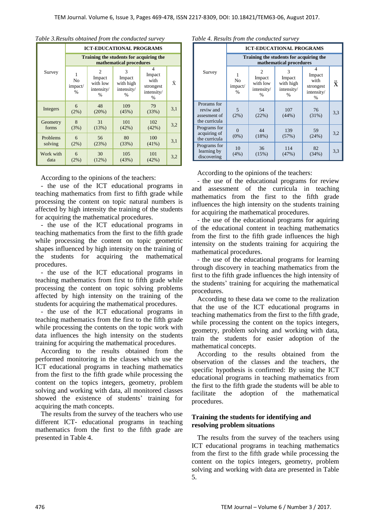|                     | <b>ICT-EDUCATIONAL PROGRAMS</b>                                    |                                                                     |                                                         |                                                     |     |  |  |
|---------------------|--------------------------------------------------------------------|---------------------------------------------------------------------|---------------------------------------------------------|-----------------------------------------------------|-----|--|--|
|                     | Training the students for acquiring the<br>mathematical procedures |                                                                     |                                                         |                                                     |     |  |  |
| Survey              | 1<br>N <sub>0</sub><br>impact/<br>$\frac{0}{0}$                    | $\mathfrak{D}$<br>Impact<br>with low<br>intensity/<br>$\frac{0}{0}$ | 3<br>Impact<br>with high<br>intensity/<br>$\frac{0}{0}$ | 4<br>Impact<br>with<br>strongest<br>intensity/<br>% | Ÿ   |  |  |
| Integers            | 6<br>(2%)                                                          | 48<br>(20%)                                                         | 109<br>(45%)                                            | 79<br>(33%)                                         | 3,1 |  |  |
| Geometry<br>forms   | 8<br>(3%)                                                          | 31<br>(13%)                                                         | 101<br>(42%)                                            | 102<br>(42%)                                        | 3,2 |  |  |
| Problems<br>solving | 6<br>(2%)                                                          | 56<br>(23%)                                                         | 80<br>(33%)                                             | 100<br>$(41\%)$                                     | 3,1 |  |  |
| Work with<br>data   | 6<br>$(2\%)$                                                       | 30<br>(12%)                                                         | 105<br>(43%)                                            | 101<br>(42%)                                        | 3,2 |  |  |

| Table 3. Results obtained from the conducted survey |  |  |
|-----------------------------------------------------|--|--|
|-----------------------------------------------------|--|--|

According to the opinions of the teachers:

- the use of the ICT educational programs in teaching mathematics from first to fifth grade while processing the content on topic natural numbers is affected by high intensity the training of the students for acquiring the mathematical procedures.

- the use of the ICT educational programs in teaching mathematics from the first to the fifth grade while processing the content on topic geometric shapes influenced by high intensity on the training of the students for acquiring the mathematical procedures.

- the use of the ICT educational programs in teaching mathematics from first to fifth grade while processing the content on topic solving problems affected by high intensity on the training of the students for acquiring the mathematical procedures.

- the use of the ICT educational programs in teaching mathematics from the first to the fifth grade while processing the contents on the topic work with data influences the high intensity on the students training for acquiring the mathematical procedures.

According to the results obtained from the performed monitoring in the classes which use the ICT educational programs in teaching mathematics from the first to the fifth grade while processing the content on the topics integers, geometry, problem solving and working with data, all monitored classes showed the existence of students' training for acquiring the math concepts.

The results from the survey of the teachers who use different ICT- educational programs in teaching mathematics from the first to the fifth grade are presented in Table 4.

|  | Table 4. Results from the conducted survey |  |
|--|--------------------------------------------|--|
|  |                                            |  |

|                                                           | <b>ICT-EDUCATIONAL PROGRAMS</b>                                    |                                                            |                                                |                                                                 |            |  |  |
|-----------------------------------------------------------|--------------------------------------------------------------------|------------------------------------------------------------|------------------------------------------------|-----------------------------------------------------------------|------------|--|--|
|                                                           | Training the students for acquiring the<br>mathematical procedures |                                                            |                                                |                                                                 |            |  |  |
| Survey                                                    | N <sub>0</sub><br>impact/<br>$\frac{0}{0}$                         | $\mathfrak{D}$<br>Impact<br>with low<br>intensity/<br>$\%$ | 3<br>Impact<br>with high<br>intensity/<br>$\%$ | 4<br>Impact<br>with<br>strongest<br>intensity/<br>$\frac{0}{6}$ | $\ddot{x}$ |  |  |
| Prorams for<br>reviw and<br>assesment of<br>the curricula | $\overline{5}$<br>(2%)                                             | 54<br>(22%)                                                | 107<br>(44%)                                   | 76<br>(31%)                                                     | 3,3        |  |  |
| Programs for<br>acquiring of<br>the curricula             | $\Omega$<br>$(0\%)$                                                | 44<br>(18%)                                                | 139<br>(57%)                                   | 59<br>(24%)                                                     | 3,2        |  |  |
| Programs for<br>learning by<br>discovering                | 10<br>(4%)                                                         | 36<br>(15%)                                                | 114<br>(47%)                                   | 82<br>(34%)                                                     | 3,3        |  |  |

According to the opinions of the teachers:

- the use of the educational programs for review and assessment of the curricula in teaching mathematics from the first to the fifth grade influences the high intensity on the students training for acquiring the mathematical procedures.

- the use of the educational programs for aquiring of the educational content in teaching mathematics from the first to the fifth grade influences the high intensity on the students training for acquiring the mathematical procedures.

- the use of the educational programs for learning through discovery in teaching mathematics from the first to the fifth grade influences the high intensity of the students' training for acquiring the mathematical procedures.

According to these data we come to the realization that the use of the ICT educational programs in teaching mathematics from the first to the fifth grade, while processing the content on the topics integers, geometry, problem solving and working with data, train the students for easier adoption of the mathematical concepts.

According to the results obtained from the observation of the classes and the teachers, the specific hypothesis is confirmed: By using the ICT educational programs in teaching mathematics from the first to the fifth grade the students will be able to facilitate the adoption of the mathematical procedures.

## **Training the students for identifying and resolving problem situations**

The results from the survey of the teachers using ICT educational programs in teaching mathematics from the first to the fifth grade while processing the content on the topics integers, geometry, problem solving and working with data are presented in Table 5.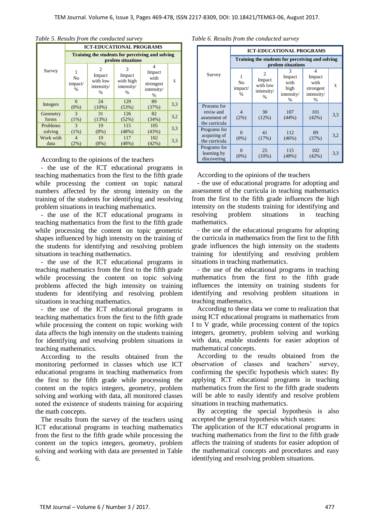|                     | <b>ICT-EDUCATIONAL PROGRAMS</b>                                       |                                                                                  |                                                         |                                                                 |     |  |
|---------------------|-----------------------------------------------------------------------|----------------------------------------------------------------------------------|---------------------------------------------------------|-----------------------------------------------------------------|-----|--|
|                     | Training the students for perceiving and solving<br>prolem situations |                                                                                  |                                                         |                                                                 |     |  |
| Survey              | N <sub>0</sub><br>impact/<br>$\frac{0}{0}$                            | $\mathcal{D}_{\mathcal{L}}$<br>Impact<br>with low<br>intensity/<br>$\frac{0}{0}$ | 3<br>Impact<br>with high<br>intensity/<br>$\frac{0}{0}$ | 4<br>Impact<br>with<br>strongest<br>intensity/<br>$\frac{0}{0}$ | Ÿ   |  |
| Integers            | $\Omega$<br>$(0\%)$                                                   | 24<br>$(10\%)$                                                                   | 129<br>(53%)                                            | 89<br>(37%)                                                     | 3,3 |  |
| Geometry<br>forms   | 3<br>(1%)                                                             | 31<br>(13%)                                                                      | 126<br>(52%)                                            | 82<br>(34%)                                                     | 3,2 |  |
| Problems<br>solving | $\mathcal{R}$<br>(1%)                                                 | 19<br>$(8\%)$                                                                    | 115<br>(48%)                                            | 105<br>(43%)                                                    | 3,3 |  |
| Work with<br>data   | 4<br>(2%)                                                             | 19<br>$(8\%)$                                                                    | 117<br>(48%)                                            | 102<br>(42%)                                                    | 3,3 |  |

#### *Table 5. Results from the conducted survey*

According to the opinions of the teachers

- the use of the ICT educational programs in teaching mathematics from the first to the fifth grade while processing the content on topic natural numbers affected by the strong intensity on the training of the students for identifying and resolving problem situations in teaching mathematics.

- the use of the ICT educational programs in teaching mathematics from the first to the fifth grade while processing the content on topic geometric shapes influenced by high intensity on the training of the students for identifying and resolving problem situations in teaching mathematics.

- the use of the ICT educational programs in teaching mathematics from the first to the fifth grade while processing the content on topic solving problems affected the high intensity on training students for identifying and resolving problem situations in teaching mathematics.

- the use of the ICT educational programs in teaching mathematics from the first to the fifth grade while processing the content on topic working with data affects the high intensity on the students training for identifying and resolving problem situations in teaching mathematics.

According to the results obtained from the monitoring performed in classes which use ICT educational programs in teaching mathematics from the first to the fifth grade while processing the content on the topics integers, geometry, problem solving and working with data, all monitored classes noted the existence of students training for acquiring the math concepts.

The results from the survey of the teachers using ICT educational programs in teaching mathematics from the first to the fifth grade while processing the content on the topics integers, geometry, problem solving and working with data are presented in Table 6.

#### *Table 6. Results from the conducted survey*

| Survey                                                    | <b>ICT-EDUCATIONAL PROGRAMS</b>                                       |                                                                     |                                                   |                                                                 |            |  |
|-----------------------------------------------------------|-----------------------------------------------------------------------|---------------------------------------------------------------------|---------------------------------------------------|-----------------------------------------------------------------|------------|--|
|                                                           | Training the students for perceiving and solving<br>prolem situations |                                                                     |                                                   |                                                                 |            |  |
|                                                           | N <sub>0</sub><br>impact/<br>$\frac{0}{0}$                            | $\mathfrak{D}$<br>Impact<br>with low<br>intensity/<br>$\frac{0}{0}$ | 3<br>Impact<br>with<br>high<br>intensity/<br>$\%$ | 4<br>Impact<br>with<br>strongest<br>intensity/<br>$\frac{0}{0}$ | $\ddot{x}$ |  |
| Prorams for<br>reviw and<br>assesment of<br>the curricula | $\overline{\mathcal{A}}$<br>(2%)                                      | 30<br>(12%)                                                         | 107<br>(44%)                                      | 101<br>(42%)                                                    | 3,3        |  |
| Programs for<br>acquiring of<br>the curricula             | $(0\%)$                                                               | 41<br>(17%)                                                         | 112<br>(46%)                                      | 89<br>(37%)                                                     | 3,2        |  |
| Programs for<br>learning by<br>discovering                | $(0\%)$                                                               | 25<br>$(10\%)$                                                      | 115<br>(48%)                                      | 102<br>$(42\%)$                                                 | 3,3        |  |

According to the opinions of the teachers

- the use of educational programs for adopting and assessment of the curricula in teaching mathematics from the first to the fifth grade influences the high intensity on the students training for identifying and resolving problem situations in teaching mathematics.

- the use of the educational programs for adopting the curricula in mathematics from the first to the fifth grade influences the high intensity on the students training for identifying and resolving problem situations in teaching mathematics.

- the use of the educational programs in teaching mathematics from the first to the fifth grade influences the intensity on training students for identifying and resolving problem situations in teaching mathematics.

According to these data we come to realization that using ICT educational programs in mathematics from I to V grade, while processing content of the topics integers, geometry, problem solving and working with data, enable students for easier adoption of mathematical concepts.

According to the results obtained from the observation of classes and teachers' survey, confirming the specific hypothesis which states: By applying ICT educational programs in teaching mathematics from the first to the fifth grade students will be able to easily identify and resolve problem situations in teaching mathematics.

By accepting the special hypothesis is also accepted the general hypothesis which states:

The application of the ICT educational programs in teaching mathematics from the first to the fifth grade affects the training of students for easier adoption of the mathematical concepts and procedures and easy identifying and resolving problem situations.